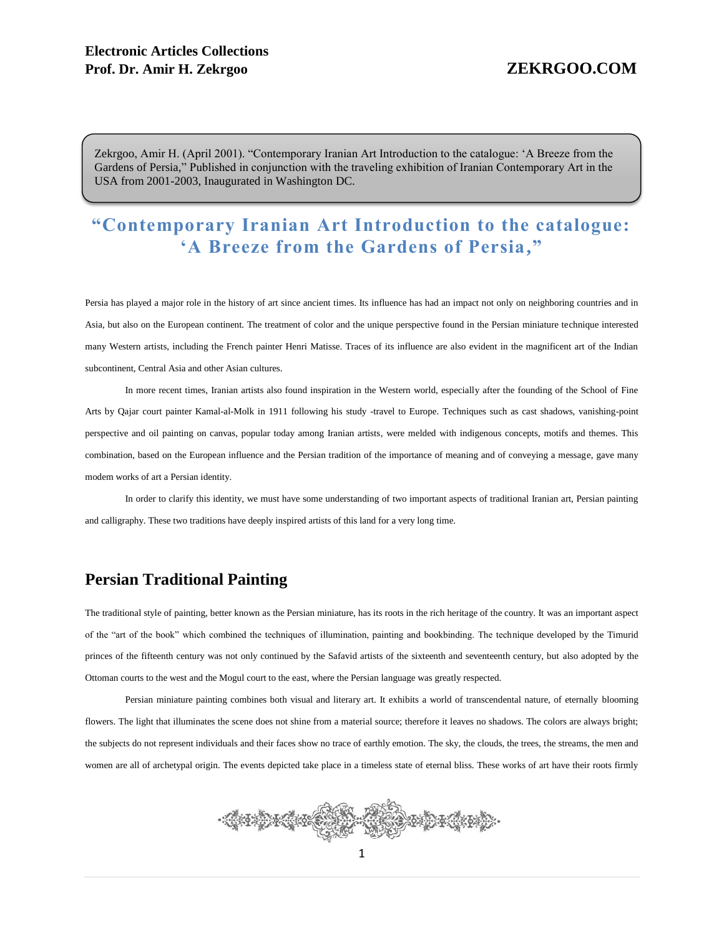Zekrgoo, Amir H. (April 2001). "Contemporary Iranian Art Introduction to the catalogue: 'A Breeze from the Gardens of Persia," Published in conjunction with the traveling exhibition of Iranian Contemporary Art in the USA from 2001-2003, Inaugurated in Washington DC.

# **"Contemporary Iranian Art Introduction to the catalogue: 'A Breeze from the Gardens of Persia, "**

Persia has played a major role in the history of art since ancient times. Its influence has had an impact not only on neighboring countries and in Asia, but also on the European continent. The treatment of color and the unique perspective found in the Persian miniature technique interested many Western artists, including the French painter Henri Matisse. Traces of its influence are also evident in the magnificent art of the Indian subcontinent, Central Asia and other Asian cultures.

In more recent times, Iranian artists also found inspiration in the Western world, especially after the founding of the School of Fine Arts by Qajar court painter Kamal-al-Molk in 1911 following his study -travel to Europe. Techniques such as cast shadows, vanishing-point perspective and oil painting on canvas, popular today among Iranian artists, were melded with indigenous concepts, motifs and themes. This combination, based on the European influence and the Persian tradition of the importance of meaning and of conveying a message, gave many modem works of art a Persian identity.

In order to clarify this identity, we must have some understanding of two important aspects of traditional Iranian art, Persian painting and calligraphy. These two traditions have deeply inspired artists of this land for a very long time.

## **Persian Traditional Painting**

The traditional style of painting, better known as the Persian miniature, has its roots in the rich heritage of the country. It was an important aspect of the "art of the book" which combined the techniques of illumination, painting and bookbinding. The technique developed by the Timurid princes of the fifteenth century was not only continued by the Safavid artists of the sixteenth and seventeenth century, but also adopted by the Ottoman courts to the west and the Mogul court to the east, where the Persian language was greatly respected.

Persian miniature painting combines both visual and literary art. It exhibits a world of transcendental nature, of eternally blooming flowers. The light that illuminates the scene does not shine from a material source; therefore it leaves no shadows. The colors are always bright; the subjects do not represent individuals and their faces show no trace of earthly emotion. The sky, the clouds, the trees, the streams, the men and women are all of archetypal origin. The events depicted take place in a timeless state of eternal bliss. These works of art have their roots firmly

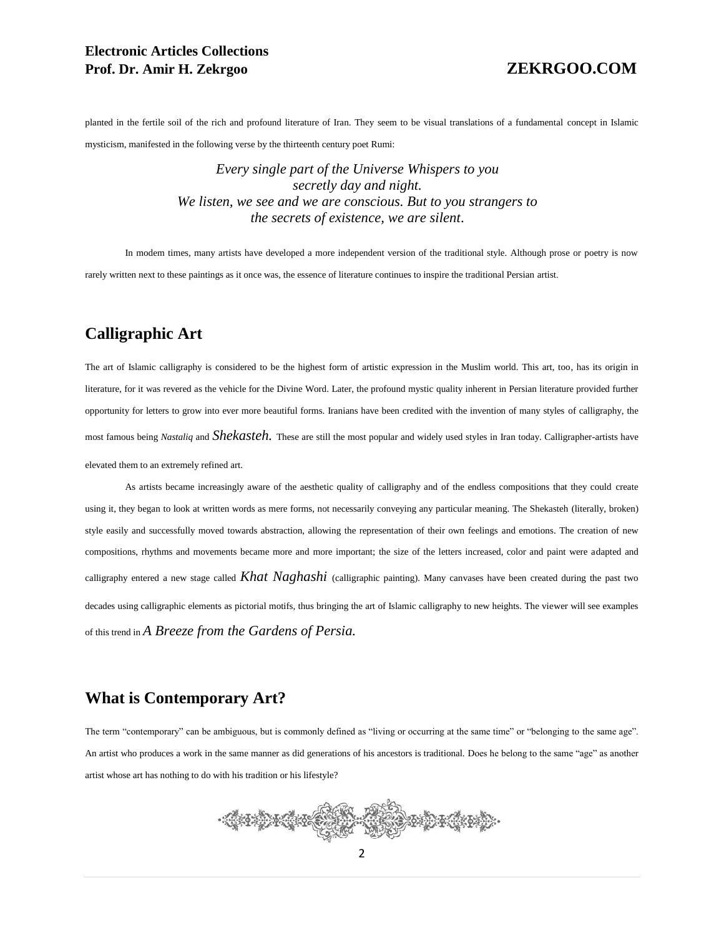## **Electronic Articles Collections Prof. Dr. Amir H. Zekrgoo ZEKRGOO.COM**

planted in the fertile soil of the rich and profound literature of Iran. They seem to be visual translations of a fundamental concept in Islamic mysticism, manifested in the following verse by the thirteenth century poet Rumi:

> *Every single part of the Universe Whispers to you secretly day and night. We listen, we see and we are conscious. But to you strangers to the secrets of existence, we are silent*.

In modem times, many artists have developed a more independent version of the traditional style. Although prose or poetry is now rarely written next to these paintings as it once was, the essence of literature continues to inspire the traditional Persian artist.

## **Calligraphic Art**

The art of Islamic calligraphy is considered to be the highest form of artistic expression in the Muslim world. This art, too, has its origin in literature, for it was revered as the vehicle for the Divine Word. Later, the profound mystic quality inherent in Persian literature provided further opportunity for letters to grow into ever more beautiful forms. Iranians have been credited with the invention of many styles of calligraphy, the most famous being *Nastaliq* and *Shekasteh.* These are still the most popular and widely used styles in Iran today. Calligrapher-artists have elevated them to an extremely refined art.

As artists became increasingly aware of the aesthetic quality of calligraphy and of the endless compositions that they could create using it, they began to look at written words as mere forms, not necessarily conveying any particular meaning. The Shekasteh (literally, broken) style easily and successfully moved towards abstraction, allowing the representation of their own feelings and emotions. The creation of new compositions, rhythms and movements became more and more important; the size of the letters increased, color and paint were adapted and calligraphy entered a new stage called *Khat Naghashi* (calligraphic painting). Many canvases have been created during the past two decades using calligraphic elements as pictorial motifs, thus bringing the art of Islamic calligraphy to new heights. The viewer will see examples of this trend in *A Breeze from the Gardens of Persia.*

## **What is Contemporary Art?**

The term "contemporary" can be ambiguous, but is commonly defined as "living or occurring at the same time" or "belonging to the same age". An artist who produces a work in the same manner as did generations of his ancestors is traditional. Does he belong to the same "age" as another artist whose art has nothing to do with his tradition or his lifestyle?